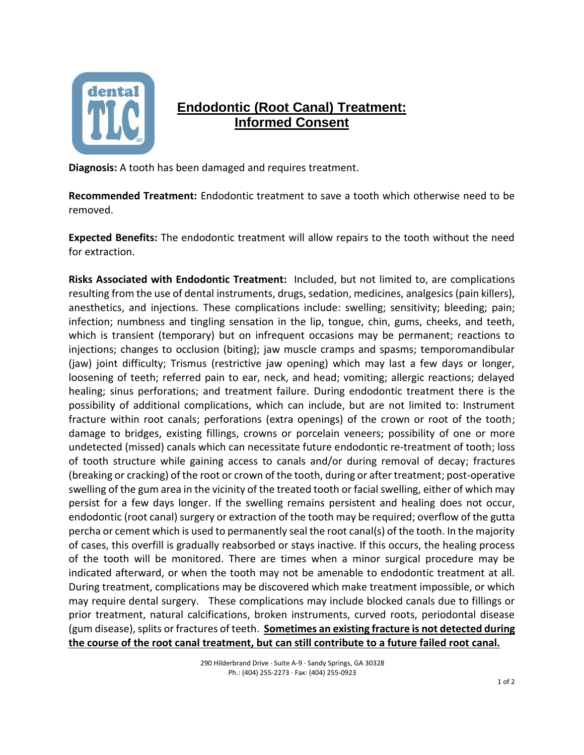

## **Endodontic (Root Canal) Treatment: Informed Consent**

**Diagnosis:** A tooth has been damaged and requires treatment.

**Recommended Treatment:** Endodontic treatment to save a tooth which otherwise need to be removed.

**Expected Benefits:** The endodontic treatment will allow repairs to the tooth without the need for extraction.

**Risks Associated with Endodontic Treatment:** Included, but not limited to, are complications resulting from the use of dental instruments, drugs, sedation, medicines, analgesics (pain killers), anesthetics, and injections. These complications include: swelling; sensitivity; bleeding; pain; infection; numbness and tingling sensation in the lip, tongue, chin, gums, cheeks, and teeth, which is transient (temporary) but on infrequent occasions may be permanent; reactions to injections; changes to occlusion (biting); jaw muscle cramps and spasms; temporomandibular (jaw) joint difficulty; Trismus (restrictive jaw opening) which may last a few days or longer, loosening of teeth; referred pain to ear, neck, and head; vomiting; allergic reactions; delayed healing; sinus perforations; and treatment failure. During endodontic treatment there is the possibility of additional complications, which can include, but are not limited to: Instrument fracture within root canals; perforations (extra openings) of the crown or root of the tooth; damage to bridges, existing fillings, crowns or porcelain veneers; possibility of one or more undetected (missed) canals which can necessitate future endodontic re-treatment of tooth; loss of tooth structure while gaining access to canals and/or during removal of decay; fractures (breaking or cracking) of the root or crown of the tooth, during or after treatment; post-operative swelling of the gum area in the vicinity of the treated tooth or facial swelling, either of which may persist for a few days longer. If the swelling remains persistent and healing does not occur, endodontic (root canal) surgery or extraction of the tooth may be required; overflow of the gutta percha or cement which is used to permanently seal the root canal(s) of the tooth. In the majority of cases, this overfill is gradually reabsorbed or stays inactive. If this occurs, the healing process of the tooth will be monitored. There are times when a minor surgical procedure may be indicated afterward, or when the tooth may not be amenable to endodontic treatment at all. During treatment, complications may be discovered which make treatment impossible, or which may require dental surgery. These complications may include blocked canals due to fillings or prior treatment, natural calcifications, broken instruments, curved roots, periodontal disease (gum disease), splits or fractures of teeth. **Sometimes an existing fracture is not detected during the course of the root canal treatment, but can still contribute to a future failed root canal.**